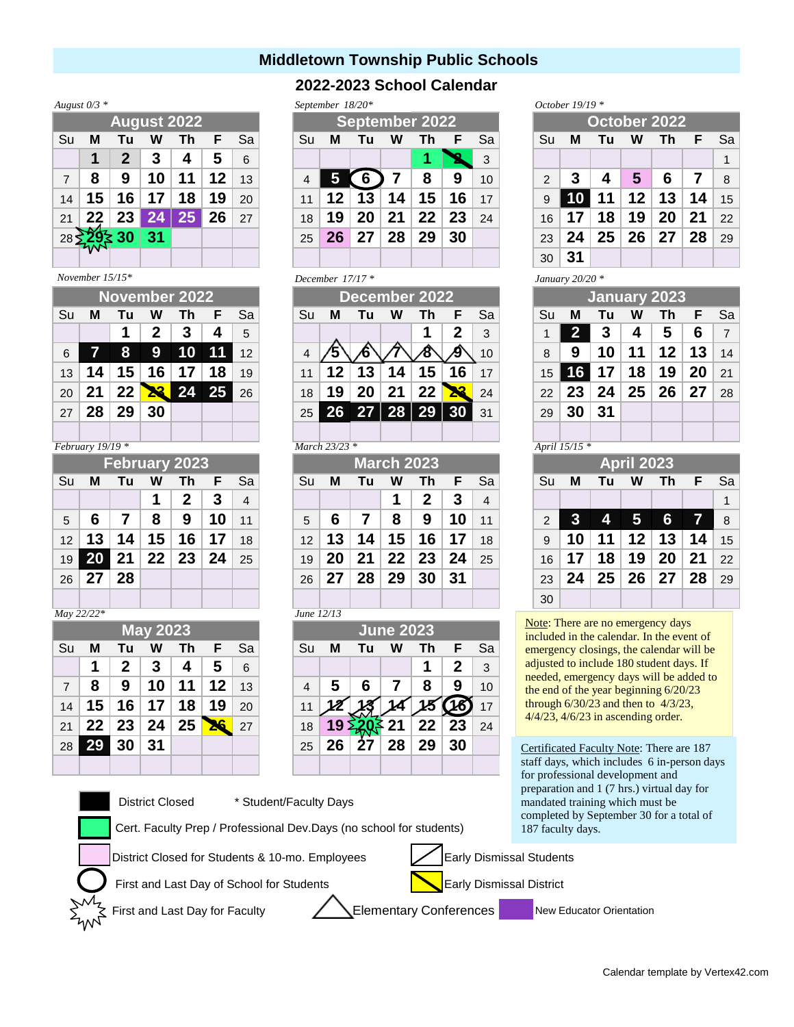# **Middletown Township Public Schools**

## **2022-2023 School Calendar**

*September 18/20\* October 19/19 \**

*December 17/17 \**

| August $0/3$ * |  |
|----------------|--|
|                |  |

| $1.200 \times 1000 = 000$ |    |              |                 |    |    |    |  |  |  |  |  |  |
|---------------------------|----|--------------|-----------------|----|----|----|--|--|--|--|--|--|
| <b>August 2022</b>        |    |              |                 |    |    |    |  |  |  |  |  |  |
| Su                        | М  | Tu           | W               | Th | F  | Sa |  |  |  |  |  |  |
|                           | 1  | $\mathbf{2}$ | 3               | 4  | 5  | 6  |  |  |  |  |  |  |
| $\overline{7}$            | 8  | 9            | 10              | 11 | 12 | 13 |  |  |  |  |  |  |
| 14                        | 15 | 16           | 17              | 18 | 19 | 20 |  |  |  |  |  |  |
| 21                        |    | 23           | $2\overline{4}$ | 25 | 26 | 27 |  |  |  |  |  |  |
| 28                        |    | 30           | 31              |    |    |    |  |  |  |  |  |  |
|                           |    |              |                 |    |    |    |  |  |  |  |  |  |

#### *November 15/15\**

| November 2022 |    |     |              |    |       |                 |
|---------------|----|-----|--------------|----|-------|-----------------|
| Su            | М  | Tu  | W            | Τh | F     | Sa              |
|               |    |     | 2            | 3  | 4     | 5               |
| 6             |    | 8   | 9            | 10 | 11    | 12 <sup>2</sup> |
| 13            |    | 15, | 6            |    | 18    | 19              |
| 20            |    | 22  | $\mathbf{R}$ |    | 24 25 | 26              |
| 27            | 28 | 29  | 30           |    |       |                 |
|               |    |     |              |    |       |                 |

### *February 19/19 \* March 23/23 \* April 15/15 \**

| <b>February 2023</b> |              |                   |                         |                |              |                |  |  |  |  |  |  |
|----------------------|--------------|-------------------|-------------------------|----------------|--------------|----------------|--|--|--|--|--|--|
| Su                   | м            | Sa                |                         |                |              |                |  |  |  |  |  |  |
|                      |              |                   | $\overline{\mathbf{1}}$ | $\overline{2}$ | $\mathbf{3}$ | $\overline{4}$ |  |  |  |  |  |  |
| 5                    | 6            | $\mathbf{7}$      | 8                       | 9              | 10           | 11             |  |  |  |  |  |  |
|                      | $12 \mid 13$ | 14   15   16   17 |                         |                |              | 18             |  |  |  |  |  |  |
| 19                   |              | 20 21 22 23 24    |                         |                |              | 25             |  |  |  |  |  |  |
| 26                   | 27 28        |                   |                         |                |              |                |  |  |  |  |  |  |
|                      |              |                   |                         |                |              |                |  |  |  |  |  |  |

*May 22/22\* June 12/13*

|    |    |       | <b>May 2023</b> |    |    |    | <b>June 2023</b> |    |    |    |    |              |    |
|----|----|-------|-----------------|----|----|----|------------------|----|----|----|----|--------------|----|
| Su | М  | Tu    | W               | Τh | F  | Sa | Su               | М  | Tu | W  | Th | F.           | Sa |
|    |    | 2     | 3               | 4  | 5  | 6  |                  |    |    |    |    | $\mathbf{2}$ | 3  |
| 7  | 8  | 9     | 10              | 11 | 12 | 13 |                  | 5  | 6  |    | 8  | 9            | 10 |
| 14 | 15 | 16    | 17              | 18 | 19 | 20 |                  |    |    |    |    |              | 17 |
| 21 |    | 22 23 | 24              | 25 |    | 27 | 18               | 19 |    | 21 | 22 | 23           | 24 |
| 28 | 29 | 30    | 31              |    |    |    | 25               | 26 |    | 28 | 29 | 30           |    |
|    |    |       |                 |    |    |    |                  |    |    |    |    |              |    |

## District Closed \* Student/Faculty Day

Cert. Faculty Prep / Professional Dev.Days

District Closed for Students & 10-mo. Employees Early Dismissal Students

First and Last Day of School for Students

First and Last Day for Faculty **Elementary Conferences** 

| October $19/19$ <sup>*</sup> |  |
|------------------------------|--|
|                              |  |

|                                   |    | <b>August 2022</b> |    |    |    |    | September 2022 |     |     |    |    |    |    | October 2022 |                |    |    |    |    |    |    |
|-----------------------------------|----|--------------------|----|----|----|----|----------------|-----|-----|----|----|----|----|--------------|----------------|----|----|----|----|----|----|
| $\overline{\mathsf{S}\mathsf{u}}$ | м  |                    | w  | Th | F  | Sa | Su             | М   | Tu  | w  | Τh | F  | Sa |              | Su             | M  | Tu | w  | Τh | F  | Sa |
|                                   |    |                    | 3  |    | 5  | 6  |                |     |     |    |    |    | 3  |              |                |    |    |    |    |    |    |
| $\overline{7}$                    | 8  | 9                  | 10 |    | 12 | 13 |                |     |     |    | 8  | 9  | 10 |              | $\mathfrak{p}$ |    |    | 5  | 6  |    | 8  |
| 14                                | 15 | 6                  |    | 18 | 19 | 20 |                | 12  |     | 4  | 15 | 16 | 17 |              |                |    |    | 12 | 13 | 4  | 15 |
| 21                                |    | 23                 |    | 25 | 26 | 27 | 18             | و ا | 20  | 21 | 22 | 23 | 24 |              | 16             |    | 18 | 9  | 20 | 21 | 22 |
| 28                                |    |                    | 31 |    |    |    | 25             | 26  | -27 | 28 | 29 | 30 |    |              | 23             | 24 | 25 | 26 | 27 | 28 | 29 |
|                                   |    |                    |    |    |    |    |                |     |     |    |    |    |    |              | 30             | 31 |    |    |    |    |    |

#### *January 20/20 \**

|                          |            | November 2022<br>December 2022 |           |    |    |    |  |          |           |                   |   |    |    |     |  | January 2023 <sup>1</sup> |    |    |    |    |    |           |
|--------------------------|------------|--------------------------------|-----------|----|----|----|--|----------|-----------|-------------------|---|----|----|-----|--|---------------------------|----|----|----|----|----|-----------|
| Su                       | м          | Тu                             | W         | Τh | F  | Sa |  | Su       | м         | Tu                | W | Τh | F  | Sa  |  | Su                        | M  | Tu | W  | Τh |    | <b>Sa</b> |
|                          |            |                                | 2         |    |    | 5  |  |          |           |                   |   |    | כי | 3   |  |                           |    |    | 4  | 5  | 6  |           |
| 6                        |            | 8                              | <u>.a</u> | 10 |    | 12 |  |          |           |                   |   |    |    | 10  |  | 8                         | 9  | 10 |    | 12 | 13 | 14        |
| 13 <sup>13</sup>         | $\sqrt{4}$ |                                |           |    |    | 19 |  |          |           | 3                 |   | 15 | 66 |     |  | 15                        |    |    | 18 | 19 | 20 | 21        |
| 20                       |            | 22                             |           | 24 | 25 | 26 |  | 18       | 19        |                   |   | 22 |    | 24  |  | 22                        | 23 | 24 | 25 | 26 | 27 | 28        |
| 27                       | 28         | 29                             | 30        |    |    |    |  | 25       |           | $26$ 27   28   29 |   |    |    | -31 |  | 29                        | 30 | 31 |    |    |    |           |
|                          |            |                                |           |    |    |    |  |          |           |                   |   |    |    |     |  |                           |    |    |    |    |    |           |
| $\overline{\phantom{a}}$ |            | 10/10 k                        |           |    |    |    |  | $\cdots$ | 1.23.23.4 |                   |   |    |    |     |  |                           |    |    |    |    |    |           |

|                                   |                 |    |    | <b>February 2023</b> |    |    |                   | March 2023 |    |    |    |    |    |  |               |    |       | <b>April 2023</b> |    |           |    |
|-----------------------------------|-----------------|----|----|----------------------|----|----|-------------------|------------|----|----|----|----|----|--|---------------|----|-------|-------------------|----|-----------|----|
| $\overline{\mathsf{S}\mathsf{u}}$ | M               | Τu | W  | Th                   | F. | Sa | Su                | м          | Tu | W  | Τh | F. | Sa |  | Su            | м  | Τu    | W                 | Th | F         | Sa |
|                                   |                 |    |    |                      |    | 4  |                   |            |    |    | 2  | 3  | 4  |  |               |    |       |                   |    |           |    |
| 5                                 |                 |    | 8  | 9                    | 10 | 11 | 5                 | 6          |    | 8  | 9  | 10 | 11 |  | $\mathcal{P}$ |    | 4     | 5                 | 6  | $\bullet$ |    |
| 12                                | 13 <sub>1</sub> | 14 | 15 | 16                   |    | 18 | $12 \overline{ }$ | 13         | 14 | 15 | 16 | 17 | 18 |  | 9             |    | $-11$ | 12 <sup>1</sup>   | 13 | 14        | 15 |
| 19                                |                 | 21 | 22 | 23                   | 24 | 25 | 19                | 20         | 21 | 22 | 23 | 24 | 25 |  | 16            |    | 18    | 19                | 20 | 21        | 22 |
| 26                                | 27              | 28 |    |                      |    |    | 26                | 27         | 28 | 29 | 30 | 31 |    |  | 23            | 24 | 25    | 26 <sub>1</sub>   | 27 | 28        | 29 |
|                                   |                 |    |    |                      |    |    |                   |            |    |    |    |    |    |  | 30            |    |       |                   |    |           |    |

Note: There are no emergency days included in the calendar. In the event of emergency closings, the calendar will be adjusted to include 180 student days. If needed, emergency days will be added to the end of the year beginning 6/20/23 through 6/30/23 and then to 4/3/23, 4/4/23, 4/6/23 in ascending order.

Certificated Faculty Note: There are 187 staff days, which includes 6 in-person days for professional development and paration and 1 (7 hrs.) virtual day for mandated training which must be npleted by September 30 for a total of faculty days.

|                            |                    | pre |
|----------------------------|--------------------|-----|
| avs                        |                    | mai |
|                            |                    | con |
| s (no school for students) |                    | 187 |
|                            |                    |     |
| ovees                      | Early Dismissal St |     |

Early Dismissal District

New Educator Orientation